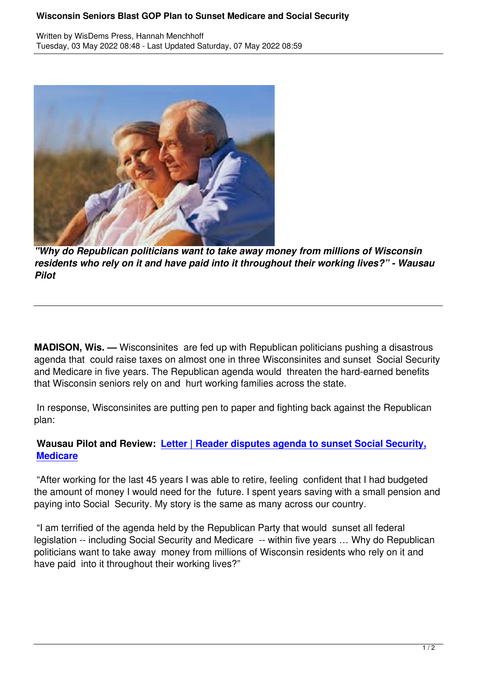

*"Why do Republican politicians want to take away money from millions of Wisconsin residents who rely on it and have paid into it throughout their working lives?" - Wausau Pilot*

**MADISON, Wis. —** Wisconsinites are fed up with Republican politicians pushing a disastrous agenda that could raise taxes on almost one in three Wisconsinites and sunset Social Security and Medicare in five years. The Republican agenda would threaten the hard-earned benefits that Wisconsin seniors rely on and hurt working families across the state.

 In response, Wisconsinites are putting pen to paper and fighting back against the Republican plan:

## **Wausau Pilot and Review: Letter | Reader disputes agenda to sunset Social Security, Medicare**

 "After working for the last 45 [years I was able to retire, feeling confident that I had budgeted](https://wisdems.us1.list-manage.com/track/click?u=5fdce0a26f89c28febc13998d&id=8202ea2bc2&e=c8d9c6b5a0) [the amoun](https://wisdems.us1.list-manage.com/track/click?u=5fdce0a26f89c28febc13998d&id=8202ea2bc2&e=c8d9c6b5a0)t of money I would need for the future. I spent years saving with a small pension and paying into Social Security. My story is the same as many across our country.

 "I am terrified of the agenda held by the Republican Party that would sunset all federal legislation -- including Social Security and Medicare -- within five years … Why do Republican politicians want to take away money from millions of Wisconsin residents who rely on it and have paid into it throughout their working lives?"